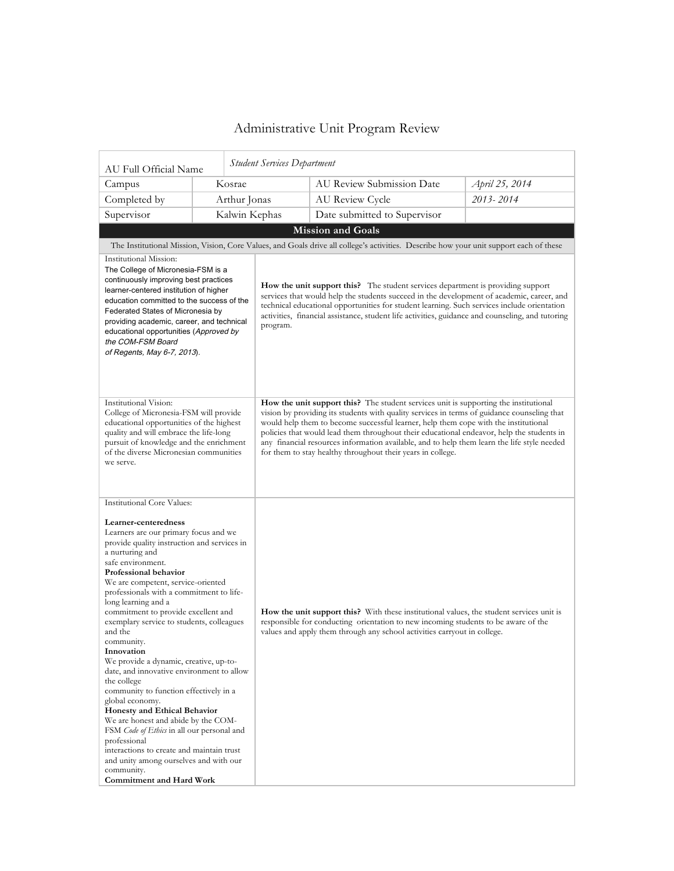## Administrative Unit Program Review

| AU Full Official Name                                                                                                                                                                                                                                                                                                                                                                                                                                                                                                                                                                                                                                                                                                                                                                                                                                                                                         |  |               | <b>Student Services Department</b>                                                                                                                                                                                                                                                                                                                                                                                                                                                                                                    |                                                                                                                                        |                |  |  |
|---------------------------------------------------------------------------------------------------------------------------------------------------------------------------------------------------------------------------------------------------------------------------------------------------------------------------------------------------------------------------------------------------------------------------------------------------------------------------------------------------------------------------------------------------------------------------------------------------------------------------------------------------------------------------------------------------------------------------------------------------------------------------------------------------------------------------------------------------------------------------------------------------------------|--|---------------|---------------------------------------------------------------------------------------------------------------------------------------------------------------------------------------------------------------------------------------------------------------------------------------------------------------------------------------------------------------------------------------------------------------------------------------------------------------------------------------------------------------------------------------|----------------------------------------------------------------------------------------------------------------------------------------|----------------|--|--|
| Campus                                                                                                                                                                                                                                                                                                                                                                                                                                                                                                                                                                                                                                                                                                                                                                                                                                                                                                        |  | Kosrae        |                                                                                                                                                                                                                                                                                                                                                                                                                                                                                                                                       | AU Review Submission Date                                                                                                              | April 25, 2014 |  |  |
| Completed by                                                                                                                                                                                                                                                                                                                                                                                                                                                                                                                                                                                                                                                                                                                                                                                                                                                                                                  |  | Arthur Jonas  |                                                                                                                                                                                                                                                                                                                                                                                                                                                                                                                                       | AU Review Cycle                                                                                                                        | 2013-2014      |  |  |
| Supervisor                                                                                                                                                                                                                                                                                                                                                                                                                                                                                                                                                                                                                                                                                                                                                                                                                                                                                                    |  | Kalwin Kephas |                                                                                                                                                                                                                                                                                                                                                                                                                                                                                                                                       | Date submitted to Supervisor                                                                                                           |                |  |  |
|                                                                                                                                                                                                                                                                                                                                                                                                                                                                                                                                                                                                                                                                                                                                                                                                                                                                                                               |  |               |                                                                                                                                                                                                                                                                                                                                                                                                                                                                                                                                       | Mission and Goals                                                                                                                      |                |  |  |
|                                                                                                                                                                                                                                                                                                                                                                                                                                                                                                                                                                                                                                                                                                                                                                                                                                                                                                               |  |               |                                                                                                                                                                                                                                                                                                                                                                                                                                                                                                                                       | The Institutional Mission, Vision, Core Values, and Goals drive all college's activities. Describe how your unit support each of these |                |  |  |
| Institutional Mission:<br>The College of Micronesia-FSM is a<br>continuously improving best practices<br>learner-centered institution of higher<br>education committed to the success of the<br>Federated States of Micronesia by<br>providing academic, career, and technical<br>educational opportunities (Approved by<br>the COM-FSM Board<br>of Regents, May 6-7, 2013).                                                                                                                                                                                                                                                                                                                                                                                                                                                                                                                                  |  |               | How the unit support this? The student services department is providing support<br>services that would help the students succeed in the development of academic, career, and<br>technical educational opportunities for student learning. Such services include orientation<br>activities, financial assistance, student life activities, guidance and counseling, and tutoring<br>program.                                                                                                                                           |                                                                                                                                        |                |  |  |
| Institutional Vision:<br>College of Micronesia-FSM will provide<br>educational opportunities of the highest<br>quality and will embrace the life-long<br>pursuit of knowledge and the enrichment<br>of the diverse Micronesian communities<br>we serve.                                                                                                                                                                                                                                                                                                                                                                                                                                                                                                                                                                                                                                                       |  |               | How the unit support this? The student services unit is supporting the institutional<br>vision by providing its students with quality services in terms of guidance counseling that<br>would help them to become successful learner, help them cope with the institutional<br>policies that would lead them throughout their educational endeavor, help the students in<br>any financial resources information available, and to help them learn the life style needed<br>for them to stay healthy throughout their years in college. |                                                                                                                                        |                |  |  |
| <b>Institutional Core Values:</b><br>Learner-centeredness<br>Learners are our primary focus and we<br>provide quality instruction and services in<br>a nurturing and<br>safe environment.<br><b>Professional behavior</b><br>We are competent, service-oriented<br>professionals with a commitment to life-<br>long learning and a<br>commitment to provide excellent and<br>exemplary service to students, colleagues<br>and the<br>community.<br>Innovation<br>We provide a dynamic, creative, up-to-<br>date, and innovative environment to allow<br>the college<br>community to function effectively in a<br>global economy.<br>Honesty and Ethical Behavior<br>We are honest and abide by the COM-<br>FSM Code of Ethics in all our personal and<br>professional<br>interactions to create and maintain trust<br>and unity among ourselves and with our<br>community.<br><b>Commitment and Hard Work</b> |  |               | How the unit support this? With these institutional values, the student services unit is<br>responsible for conducting orientation to new incoming students to be aware of the<br>values and apply them through any school activities carryout in college.                                                                                                                                                                                                                                                                            |                                                                                                                                        |                |  |  |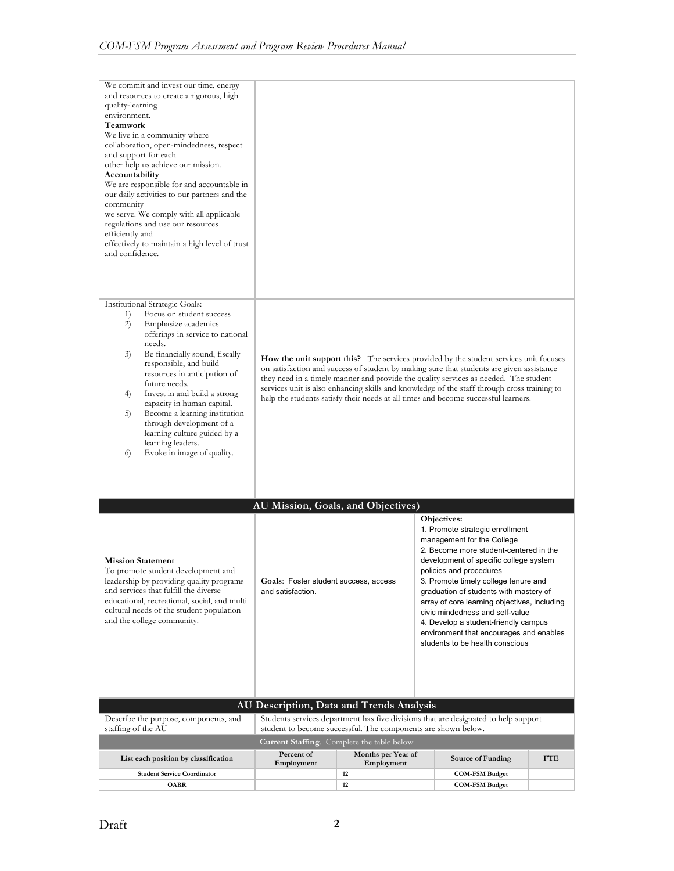| We commit and invest our time, energy<br>and resources to create a rigorous, high<br>quality-learning<br>environment.<br>Teamwork<br>We live in a community where<br>collaboration, open-mindedness, respect<br>and support for each<br>other help us achieve our mission.<br>Accountability<br>We are responsible for and accountable in<br>our daily activities to our partners and the<br>community<br>we serve. We comply with all applicable<br>regulations and use our resources<br>efficiently and<br>effectively to maintain a high level of trust<br>and confidence. |                                                                                                  |                                                               |                                                                                                                                                                                                                                                                                                                                                                                                                                                                                        |            |
|-------------------------------------------------------------------------------------------------------------------------------------------------------------------------------------------------------------------------------------------------------------------------------------------------------------------------------------------------------------------------------------------------------------------------------------------------------------------------------------------------------------------------------------------------------------------------------|--------------------------------------------------------------------------------------------------|---------------------------------------------------------------|----------------------------------------------------------------------------------------------------------------------------------------------------------------------------------------------------------------------------------------------------------------------------------------------------------------------------------------------------------------------------------------------------------------------------------------------------------------------------------------|------------|
| <b>Institutional Strategic Goals:</b><br>Focus on student success<br>1)<br>Emphasize academics<br>2)<br>offerings in service to national<br>needs.<br>Be financially sound, fiscally<br>3)<br>responsible, and build<br>resources in anticipation of<br>future needs.<br>Invest in and build a strong<br>4)<br>capacity in human capital.<br>Become a learning institution<br>5)<br>through development of a<br>learning culture guided by a<br>learning leaders.<br>Evoke in image of quality.<br>6)                                                                         |                                                                                                  |                                                               | <b>How the unit support this?</b> The services provided by the student services unit focuses<br>on satisfaction and success of student by making sure that students are given assistance<br>they need in a timely manner and provide the quality services as needed. The student<br>services unit is also enhancing skills and knowledge of the staff through cross training to<br>help the students satisfy their needs at all times and become successful learners.                  |            |
|                                                                                                                                                                                                                                                                                                                                                                                                                                                                                                                                                                               |                                                                                                  |                                                               |                                                                                                                                                                                                                                                                                                                                                                                                                                                                                        |            |
| <b>Mission Statement</b><br>To promote student development and<br>leadership by providing quality programs<br>and services that fulfill the diverse<br>educational, recreational, social, and multi-<br>cultural needs of the student population<br>and the college community.                                                                                                                                                                                                                                                                                                | AU Mission, Goals, and Objectives)<br>Goals: Foster student success, access<br>and satisfaction. |                                                               | Objectives:<br>1. Promote strategic enrollment<br>management for the College<br>2. Become more student-centered in the<br>development of specific college system<br>policies and procedures<br>3. Promote timely college tenure and<br>graduation of students with mastery of<br>array of core learning objectives, including<br>civic mindedness and self-value<br>4. Develop a student-friendly campus<br>environment that encourages and enables<br>students to be health conscious |            |
|                                                                                                                                                                                                                                                                                                                                                                                                                                                                                                                                                                               | AU Description, Data and Trends Analysis                                                         |                                                               |                                                                                                                                                                                                                                                                                                                                                                                                                                                                                        |            |
| Describe the purpose, components, and<br>staffing of the AU                                                                                                                                                                                                                                                                                                                                                                                                                                                                                                                   |                                                                                                  | student to become successful. The components are shown below. | Students services department has five divisions that are designated to help support                                                                                                                                                                                                                                                                                                                                                                                                    |            |
|                                                                                                                                                                                                                                                                                                                                                                                                                                                                                                                                                                               | <b>Current Staffing.</b> Complete the table below                                                |                                                               |                                                                                                                                                                                                                                                                                                                                                                                                                                                                                        |            |
| List each position by classification                                                                                                                                                                                                                                                                                                                                                                                                                                                                                                                                          | Percent of<br>Employment                                                                         | Months per Year of<br>Employment                              | Source of Funding                                                                                                                                                                                                                                                                                                                                                                                                                                                                      | <b>FTE</b> |
| <b>Student Service Coordinator</b><br><b>OARR</b>                                                                                                                                                                                                                                                                                                                                                                                                                                                                                                                             |                                                                                                  | 12<br>12                                                      | <b>COM-FSM Budget</b><br><b>COM-FSM Budget</b>                                                                                                                                                                                                                                                                                                                                                                                                                                         |            |
|                                                                                                                                                                                                                                                                                                                                                                                                                                                                                                                                                                               |                                                                                                  |                                                               |                                                                                                                                                                                                                                                                                                                                                                                                                                                                                        |            |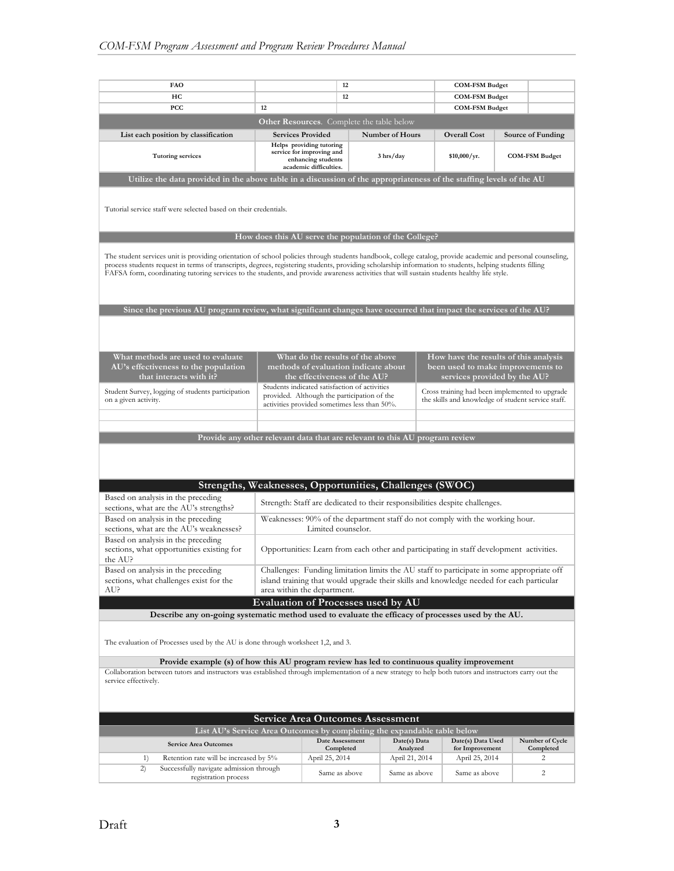| <b>FAO</b>                                                                                                                                                                                                                                                                                                                                                                                                                                                             |                                                                                                                                                                                                                                                             | 12              |                            |  | <b>COM-FSM Budget</b>             |  |                                            |
|------------------------------------------------------------------------------------------------------------------------------------------------------------------------------------------------------------------------------------------------------------------------------------------------------------------------------------------------------------------------------------------------------------------------------------------------------------------------|-------------------------------------------------------------------------------------------------------------------------------------------------------------------------------------------------------------------------------------------------------------|-----------------|----------------------------|--|-----------------------------------|--|--------------------------------------------|
| HC                                                                                                                                                                                                                                                                                                                                                                                                                                                                     | 12                                                                                                                                                                                                                                                          |                 | <b>COM-FSM Budget</b>      |  |                                   |  |                                            |
| <b>PCC</b>                                                                                                                                                                                                                                                                                                                                                                                                                                                             | 12                                                                                                                                                                                                                                                          |                 | <b>COM-FSM Budget</b>      |  |                                   |  |                                            |
|                                                                                                                                                                                                                                                                                                                                                                                                                                                                        | Other Resources. Complete the table below                                                                                                                                                                                                                   |                 |                            |  |                                   |  |                                            |
|                                                                                                                                                                                                                                                                                                                                                                                                                                                                        |                                                                                                                                                                                                                                                             |                 | <b>Number of Hours</b>     |  | <b>Overall Cost</b>               |  |                                            |
| List each position by classification<br><b>Tutoring services</b>                                                                                                                                                                                                                                                                                                                                                                                                       | <b>Services Provided</b><br>Helps providing tutoring<br>service for improving and                                                                                                                                                                           |                 | 3 hrs/day                  |  | \$10,000/yr.                      |  | Source of Funding<br><b>COM-FSM Budget</b> |
| enhancing students<br>academic difficulties.                                                                                                                                                                                                                                                                                                                                                                                                                           |                                                                                                                                                                                                                                                             |                 |                            |  |                                   |  |                                            |
| Utilize the data provided in the above table in a discussion of the appropriateness of the staffing levels of the AU                                                                                                                                                                                                                                                                                                                                                   |                                                                                                                                                                                                                                                             |                 |                            |  |                                   |  |                                            |
| Tutorial service staff were selected based on their credentials.                                                                                                                                                                                                                                                                                                                                                                                                       |                                                                                                                                                                                                                                                             |                 |                            |  |                                   |  |                                            |
|                                                                                                                                                                                                                                                                                                                                                                                                                                                                        | How does this AU serve the population of the College?                                                                                                                                                                                                       |                 |                            |  |                                   |  |                                            |
| The student services unit is providing orientation of school policies through students handbook, college catalog, provide academic and personal counseling,<br>process students request in terms of transcripts, degrees, registering students, providing scholarship information to students, helping students filling<br>FAFSA form, coordinating tutoring services to the students, and provide awareness activities that will sustain students healthy life style. |                                                                                                                                                                                                                                                             |                 |                            |  |                                   |  |                                            |
| Since the previous AU program review, what significant changes have occurred that impact the services of the AU?                                                                                                                                                                                                                                                                                                                                                       |                                                                                                                                                                                                                                                             |                 |                            |  |                                   |  |                                            |
|                                                                                                                                                                                                                                                                                                                                                                                                                                                                        |                                                                                                                                                                                                                                                             |                 |                            |  |                                   |  |                                            |
| AU's effectiveness to the population<br>that interacts with it?                                                                                                                                                                                                                                                                                                                                                                                                        | What methods are used to evaluate<br>What do the results of the above<br>How have the results of this analysis<br>methods of evaluation indicate about<br>been used to make improvements to<br>the effectiveness of the AU?<br>services provided by the AU? |                 |                            |  |                                   |  |                                            |
| Student Survey, logging of students participation<br>on a given activity.                                                                                                                                                                                                                                                                                                                                                                                              | Students indicated satisfaction of activities<br>Cross training had been implemented to upgrade<br>provided. Although the participation of the<br>the skills and knowledge of student service staff.<br>activities provided sometimes less than 50%.        |                 |                            |  |                                   |  |                                            |
|                                                                                                                                                                                                                                                                                                                                                                                                                                                                        |                                                                                                                                                                                                                                                             |                 |                            |  |                                   |  |                                            |
|                                                                                                                                                                                                                                                                                                                                                                                                                                                                        | Provide any other relevant data that are relevant to this AU program review                                                                                                                                                                                 |                 |                            |  |                                   |  |                                            |
|                                                                                                                                                                                                                                                                                                                                                                                                                                                                        |                                                                                                                                                                                                                                                             |                 |                            |  |                                   |  |                                            |
|                                                                                                                                                                                                                                                                                                                                                                                                                                                                        | Strengths, Weaknesses, Opportunities, Challenges (SWOC)                                                                                                                                                                                                     |                 |                            |  |                                   |  |                                            |
| Based on analysis in the preceding<br>sections, what are the AU's strengths?                                                                                                                                                                                                                                                                                                                                                                                           | Strength: Staff are dedicated to their responsibilities despite challenges.                                                                                                                                                                                 |                 |                            |  |                                   |  |                                            |
| Based on analysis in the preceding<br>sections, what are the AU's weaknesses?                                                                                                                                                                                                                                                                                                                                                                                          | Weaknesses: 90% of the department staff do not comply with the working hour.<br>Limited counselor.                                                                                                                                                          |                 |                            |  |                                   |  |                                            |
| Based on analysis in the preceding<br>sections, what opportunities existing for<br>the AU?                                                                                                                                                                                                                                                                                                                                                                             | Opportunities: Learn from each other and participating in staff development activities.                                                                                                                                                                     |                 |                            |  |                                   |  |                                            |
| Based on analysis in the preceding<br>sections, what challenges exist for the<br>AU?                                                                                                                                                                                                                                                                                                                                                                                   | Challenges: Funding limitation limits the AU staff to participate in some appropriate off<br>island training that would upgrade their skills and knowledge needed for each particular<br>area within the department.                                        |                 |                            |  |                                   |  |                                            |
|                                                                                                                                                                                                                                                                                                                                                                                                                                                                        | Evaluation of Processes used by AU                                                                                                                                                                                                                          |                 |                            |  |                                   |  |                                            |
|                                                                                                                                                                                                                                                                                                                                                                                                                                                                        |                                                                                                                                                                                                                                                             |                 |                            |  |                                   |  |                                            |
| Describe any on-going systematic method used to evaluate the efficacy of processes used by the AU.<br>The evaluation of Processes used by the AU is done through worksheet 1,2, and 3.                                                                                                                                                                                                                                                                                 |                                                                                                                                                                                                                                                             |                 |                            |  |                                   |  |                                            |
| Provide example (s) of how this AU program review has led to continuous quality improvement                                                                                                                                                                                                                                                                                                                                                                            |                                                                                                                                                                                                                                                             |                 |                            |  |                                   |  |                                            |
| Collaboration between tutors and instructors was established through implementation of a new strategy to help both tutors and instructors carry out the<br>service effectively.                                                                                                                                                                                                                                                                                        |                                                                                                                                                                                                                                                             |                 |                            |  |                                   |  |                                            |
|                                                                                                                                                                                                                                                                                                                                                                                                                                                                        | <b>Service Area Outcomes Assessment</b>                                                                                                                                                                                                                     |                 |                            |  |                                   |  |                                            |
|                                                                                                                                                                                                                                                                                                                                                                                                                                                                        | List AU's Service Area Outcomes by completing the expandable table below                                                                                                                                                                                    |                 |                            |  |                                   |  |                                            |
| <b>Service Area Outcomes</b>                                                                                                                                                                                                                                                                                                                                                                                                                                           |                                                                                                                                                                                                                                                             | Date Assessment | Date(s) Data               |  | Date(s) Data Used                 |  | Number of Cycle                            |
| 1)<br>Retention rate will be increased by 5%                                                                                                                                                                                                                                                                                                                                                                                                                           | April 25, 2014                                                                                                                                                                                                                                              | Completed       | Analyzed<br>April 21, 2014 |  | for Improvement<br>April 25, 2014 |  | Completed<br>2                             |
| 2)<br>Successfully navigate admission through<br>registration process                                                                                                                                                                                                                                                                                                                                                                                                  |                                                                                                                                                                                                                                                             | Same as above   | Same as above              |  | Same as above                     |  | 2                                          |
|                                                                                                                                                                                                                                                                                                                                                                                                                                                                        |                                                                                                                                                                                                                                                             |                 |                            |  |                                   |  |                                            |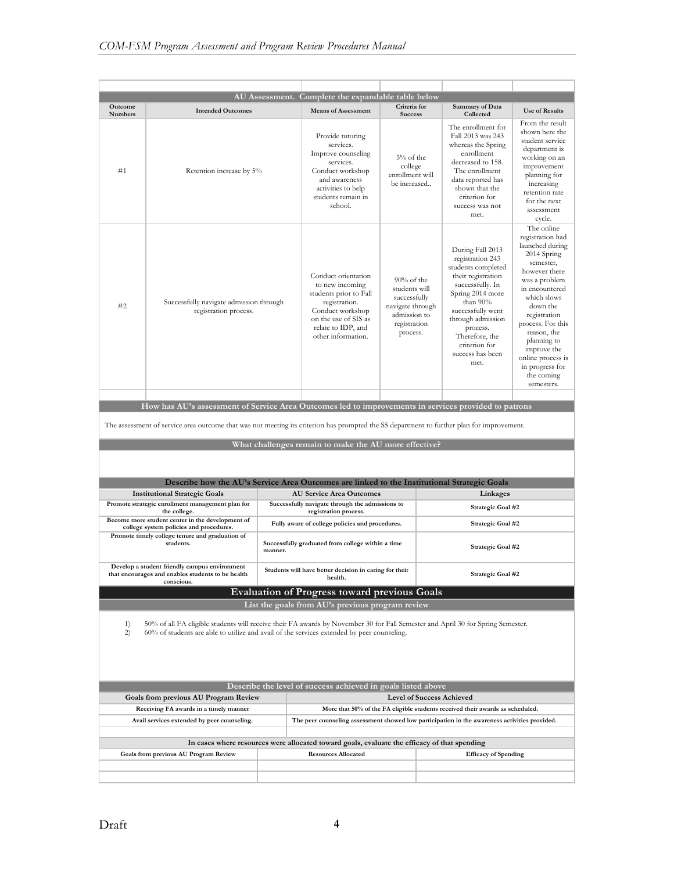| <b>Outcome</b> |                                                                                                                                                                                                                               |         | AU Assessment. Complete the expandable table below                                                                                                                        | Criteria for                                                                                                   | Summary of Data                                                                                                                                                                                                                                           |                                                                                                                                                                                                                                                                                                                    |
|----------------|-------------------------------------------------------------------------------------------------------------------------------------------------------------------------------------------------------------------------------|---------|---------------------------------------------------------------------------------------------------------------------------------------------------------------------------|----------------------------------------------------------------------------------------------------------------|-----------------------------------------------------------------------------------------------------------------------------------------------------------------------------------------------------------------------------------------------------------|--------------------------------------------------------------------------------------------------------------------------------------------------------------------------------------------------------------------------------------------------------------------------------------------------------------------|
| <b>Numbers</b> | <b>Intended Outcomes</b>                                                                                                                                                                                                      |         | <b>Means of Assessment</b>                                                                                                                                                | <b>Success</b>                                                                                                 | Collected                                                                                                                                                                                                                                                 | <b>Use of Results</b>                                                                                                                                                                                                                                                                                              |
| #1             | Retention increase by 5%                                                                                                                                                                                                      |         | Provide tutoring<br>services.<br>Improve counseling<br>services.<br>Conduct workshop<br>and awareness<br>activities to help<br>students remain in<br>school.              | 5% of the<br>college<br>enrollment will<br>be increased                                                        | The enrollment for<br>Fall 2013 was 243<br>whereas the Spring<br>enrollment<br>decreased to 158.<br>The enrollment<br>data reported has<br>shown that the<br>criterion for<br>success was not<br>met.                                                     | From the result<br>shown here the<br>student service<br>department is<br>working on an<br>improvement<br>planning for<br>increasing<br>retention rate<br>for the next<br>assessment<br>cycle.                                                                                                                      |
| #2             | Successfully navigate admission through<br>registration process.                                                                                                                                                              |         | Conduct orientation<br>to new incoming<br>students prior to Fall<br>registration.<br>Conduct workshop<br>on the use of SIS as<br>relate to IDP, and<br>other information. | $90\%$ of the<br>students will<br>successfully<br>navigate through<br>admission to<br>registration<br>process. | During Fall 2013<br>registration 243<br>students completed<br>their registration<br>successfully. In<br>Spring 2014 more<br>than 90%<br>successfully went<br>through admission<br>process.<br>Therefore, the<br>criterion for<br>success has been<br>met. | The online<br>registration had<br>launched during<br>2014 Spring<br>semester,<br>however there<br>was a problem<br>in encountered<br>which slows<br>down the<br>registration<br>process. For this<br>reason, the<br>planning to<br>improve the<br>online process is<br>in progress for<br>the coming<br>semesters. |
|                |                                                                                                                                                                                                                               |         |                                                                                                                                                                           |                                                                                                                |                                                                                                                                                                                                                                                           |                                                                                                                                                                                                                                                                                                                    |
|                | How has AU's assessment of Service Area Outcomes led to improvements in services provided to patrons                                                                                                                          |         |                                                                                                                                                                           |                                                                                                                |                                                                                                                                                                                                                                                           |                                                                                                                                                                                                                                                                                                                    |
|                | The assessment of service area outcome that was not meeting its criterion has prompted the SS department to further plan for improvement.                                                                                     |         |                                                                                                                                                                           |                                                                                                                |                                                                                                                                                                                                                                                           |                                                                                                                                                                                                                                                                                                                    |
|                |                                                                                                                                                                                                                               |         | What challenges remain to make the AU more effective?                                                                                                                     |                                                                                                                |                                                                                                                                                                                                                                                           |                                                                                                                                                                                                                                                                                                                    |
|                |                                                                                                                                                                                                                               |         |                                                                                                                                                                           |                                                                                                                |                                                                                                                                                                                                                                                           |                                                                                                                                                                                                                                                                                                                    |
|                |                                                                                                                                                                                                                               |         |                                                                                                                                                                           |                                                                                                                |                                                                                                                                                                                                                                                           |                                                                                                                                                                                                                                                                                                                    |
|                |                                                                                                                                                                                                                               |         |                                                                                                                                                                           |                                                                                                                |                                                                                                                                                                                                                                                           |                                                                                                                                                                                                                                                                                                                    |
|                | Describe how the AU's Service Area Outcomes are linked to the Institutional Strategic Goals<br><b>Institutional Strategic Goals</b>                                                                                           |         | <b>AU Service Area Outcomes</b>                                                                                                                                           |                                                                                                                | Linkages                                                                                                                                                                                                                                                  |                                                                                                                                                                                                                                                                                                                    |
|                | Promote strategic enrollment management plan for                                                                                                                                                                              |         | Successfully navigate through the admissions to                                                                                                                           |                                                                                                                |                                                                                                                                                                                                                                                           |                                                                                                                                                                                                                                                                                                                    |
|                | the college.                                                                                                                                                                                                                  |         | registration process.                                                                                                                                                     |                                                                                                                | Strategic Goal #2                                                                                                                                                                                                                                         |                                                                                                                                                                                                                                                                                                                    |
|                | Become more student center in the development of<br>college system policies and procedures.                                                                                                                                   |         | Fully aware of college policies and procedures.                                                                                                                           |                                                                                                                | Strategic Goal #2                                                                                                                                                                                                                                         |                                                                                                                                                                                                                                                                                                                    |
|                | Promote timely college tenure and graduation of<br>students.                                                                                                                                                                  | manner. | Successfully graduated from college within a time                                                                                                                         |                                                                                                                | Strategic Goal #2                                                                                                                                                                                                                                         |                                                                                                                                                                                                                                                                                                                    |
|                | Develop a student friendly campus environment<br>that encourages and enables students to be health<br>conscious.                                                                                                              |         | Students will have better decision in caring for their<br>health.                                                                                                         |                                                                                                                | Strategic Goal #2                                                                                                                                                                                                                                         |                                                                                                                                                                                                                                                                                                                    |
|                |                                                                                                                                                                                                                               |         | <b>Evaluation of Progress toward previous Goals</b>                                                                                                                       |                                                                                                                |                                                                                                                                                                                                                                                           |                                                                                                                                                                                                                                                                                                                    |
|                |                                                                                                                                                                                                                               |         | List the goals from AU's previous program review                                                                                                                          |                                                                                                                |                                                                                                                                                                                                                                                           |                                                                                                                                                                                                                                                                                                                    |
| 1)<br>2)       | 50% of all FA eligible students will receive their FA awards by November 30 for Fall Semester and April 30 for Spring Semester.<br>60% of students are able to utilize and avail of the services extended by peer counseling. |         |                                                                                                                                                                           |                                                                                                                |                                                                                                                                                                                                                                                           |                                                                                                                                                                                                                                                                                                                    |
|                |                                                                                                                                                                                                                               |         |                                                                                                                                                                           |                                                                                                                |                                                                                                                                                                                                                                                           |                                                                                                                                                                                                                                                                                                                    |
|                | <b>Goals from previous AU Program Review</b>                                                                                                                                                                                  |         | Describe the level of success achieved in goals listed above                                                                                                              |                                                                                                                | <b>Level of Success Achieved</b>                                                                                                                                                                                                                          |                                                                                                                                                                                                                                                                                                                    |
|                | Receiving FA awards in a timely manner                                                                                                                                                                                        |         |                                                                                                                                                                           |                                                                                                                | More that 50% of the FA eligible students received their awards as scheduled.                                                                                                                                                                             |                                                                                                                                                                                                                                                                                                                    |
|                | Avail services extended by peer counseling.                                                                                                                                                                                   |         |                                                                                                                                                                           |                                                                                                                | The peer counseling assessment showed low participation in the awareness activities provided.                                                                                                                                                             |                                                                                                                                                                                                                                                                                                                    |
|                |                                                                                                                                                                                                                               |         |                                                                                                                                                                           |                                                                                                                |                                                                                                                                                                                                                                                           |                                                                                                                                                                                                                                                                                                                    |
|                |                                                                                                                                                                                                                               |         | In cases where resources were allocated toward goals, evaluate the efficacy of that spending                                                                              |                                                                                                                |                                                                                                                                                                                                                                                           |                                                                                                                                                                                                                                                                                                                    |
|                | Goals from previous AU Program Review                                                                                                                                                                                         |         | <b>Resources Allocated</b>                                                                                                                                                |                                                                                                                | <b>Efficacy of Spending</b>                                                                                                                                                                                                                               |                                                                                                                                                                                                                                                                                                                    |
|                |                                                                                                                                                                                                                               |         |                                                                                                                                                                           |                                                                                                                |                                                                                                                                                                                                                                                           |                                                                                                                                                                                                                                                                                                                    |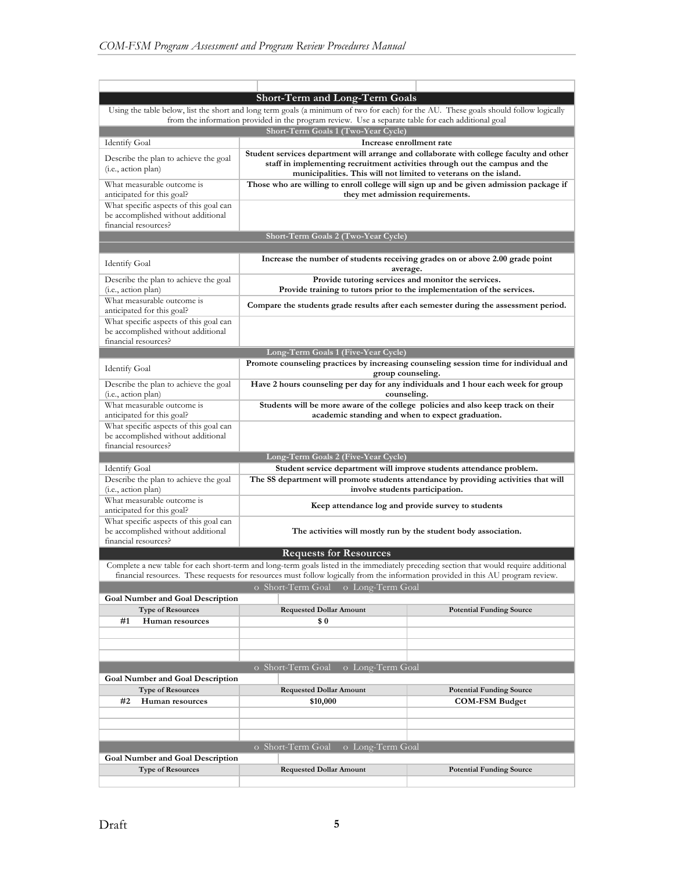|                                                                                                      | <b>Short-Term and Long-Term Goals</b>                                                                                                                                                                                                                                      |                                                                                        |  |  |  |
|------------------------------------------------------------------------------------------------------|----------------------------------------------------------------------------------------------------------------------------------------------------------------------------------------------------------------------------------------------------------------------------|----------------------------------------------------------------------------------------|--|--|--|
|                                                                                                      | Using the table below, list the short and long term goals (a minimum of two for each) for the AU. These goals should follow logically                                                                                                                                      |                                                                                        |  |  |  |
|                                                                                                      | from the information provided in the program review. Use a separate table for each additional goal                                                                                                                                                                         |                                                                                        |  |  |  |
|                                                                                                      | Short-Term Goals 1 (Two-Year Cycle)                                                                                                                                                                                                                                        |                                                                                        |  |  |  |
| <b>Identify Goal</b>                                                                                 | Increase enrollment rate                                                                                                                                                                                                                                                   |                                                                                        |  |  |  |
| Describe the plan to achieve the goal<br>( <i>i.e.</i> , action plan)                                | Student services department will arrange and collaborate with college faculty and other<br>municipalities. This will not limited to veterans on the island.                                                                                                                | staff in implementing recruitment activities through out the campus and the            |  |  |  |
| What measurable outcome is<br>anticipated for this goal?                                             | they met admission requirements.                                                                                                                                                                                                                                           | Those who are willing to enroll college will sign up and be given admission package if |  |  |  |
| What specific aspects of this goal can<br>be accomplished without additional<br>financial resources? |                                                                                                                                                                                                                                                                            |                                                                                        |  |  |  |
|                                                                                                      | Short-Term Goals 2 (Two-Year Cycle)                                                                                                                                                                                                                                        |                                                                                        |  |  |  |
| <b>Identify Goal</b>                                                                                 | average.                                                                                                                                                                                                                                                                   | Increase the number of students receiving grades on or above 2.00 grade point          |  |  |  |
| Describe the plan to achieve the goal<br>(i.e., action plan)                                         | Provide tutoring services and monitor the services.<br>Provide training to tutors prior to the implementation of the services.                                                                                                                                             |                                                                                        |  |  |  |
| What measurable outcome is<br>anticipated for this goal?                                             | Compare the students grade results after each semester during the assessment period.                                                                                                                                                                                       |                                                                                        |  |  |  |
| What specific aspects of this goal can<br>be accomplished without additional<br>financial resources? |                                                                                                                                                                                                                                                                            |                                                                                        |  |  |  |
|                                                                                                      | Long-Term Goals 1 (Five-Year Cycle)                                                                                                                                                                                                                                        |                                                                                        |  |  |  |
|                                                                                                      | Promote counseling practices by increasing counseling session time for individual and                                                                                                                                                                                      |                                                                                        |  |  |  |
| <b>Identify Goal</b><br>Describe the plan to achieve the goal                                        | group counseling.<br>Have 2 hours counseling per day for any individuals and 1 hour each week for group                                                                                                                                                                    |                                                                                        |  |  |  |
| (i.e., action plan)                                                                                  | counseling.                                                                                                                                                                                                                                                                |                                                                                        |  |  |  |
| What measurable outcome is<br>anticipated for this goal?                                             | Students will be more aware of the college policies and also keep track on their<br>academic standing and when to expect graduation.                                                                                                                                       |                                                                                        |  |  |  |
| What specific aspects of this goal can<br>be accomplished without additional<br>financial resources? |                                                                                                                                                                                                                                                                            |                                                                                        |  |  |  |
|                                                                                                      | Long-Term Goals 2 (Five-Year Cycle)                                                                                                                                                                                                                                        |                                                                                        |  |  |  |
| <b>Identify Goal</b>                                                                                 | Student service department will improve students attendance problem.                                                                                                                                                                                                       |                                                                                        |  |  |  |
| Describe the plan to achieve the goal<br>(i.e., action plan)                                         | The SS department will promote students attendance by providing activities that will<br>involve students participation.                                                                                                                                                    |                                                                                        |  |  |  |
| What measurable outcome is<br>anticipated for this goal?                                             | Keep attendance log and provide survey to students                                                                                                                                                                                                                         |                                                                                        |  |  |  |
| What specific aspects of this goal can<br>be accomplished without additional                         |                                                                                                                                                                                                                                                                            | The activities will mostly run by the student body association.                        |  |  |  |
| financial resources?                                                                                 |                                                                                                                                                                                                                                                                            |                                                                                        |  |  |  |
|                                                                                                      | <b>Requests for Resources</b>                                                                                                                                                                                                                                              |                                                                                        |  |  |  |
|                                                                                                      | Complete a new table for each short-term and long-term goals listed in the immediately preceding section that would require additional<br>financial resources. These requests for resources must follow logically from the information provided in this AU program review. |                                                                                        |  |  |  |
|                                                                                                      | o Short-Term Goal<br>o Long-Term Goal                                                                                                                                                                                                                                      |                                                                                        |  |  |  |
| <b>Goal Number and Goal Description</b>                                                              |                                                                                                                                                                                                                                                                            |                                                                                        |  |  |  |
| <b>Type of Resources</b><br>#1                                                                       | <b>Requested Dollar Amount</b><br>\$0                                                                                                                                                                                                                                      | <b>Potential Funding Source</b>                                                        |  |  |  |
| Human resources                                                                                      |                                                                                                                                                                                                                                                                            |                                                                                        |  |  |  |
|                                                                                                      |                                                                                                                                                                                                                                                                            |                                                                                        |  |  |  |
|                                                                                                      |                                                                                                                                                                                                                                                                            |                                                                                        |  |  |  |
|                                                                                                      | o Short-Term Goal<br>o Long-Term Goal                                                                                                                                                                                                                                      |                                                                                        |  |  |  |
| <b>Goal Number and Goal Description</b>                                                              |                                                                                                                                                                                                                                                                            |                                                                                        |  |  |  |
| <b>Type of Resources</b>                                                                             | <b>Requested Dollar Amount</b>                                                                                                                                                                                                                                             | <b>Potential Funding Source</b>                                                        |  |  |  |
| #2<br>Human resources                                                                                | \$10,000                                                                                                                                                                                                                                                                   | <b>COM-FSM Budget</b>                                                                  |  |  |  |
|                                                                                                      |                                                                                                                                                                                                                                                                            |                                                                                        |  |  |  |
|                                                                                                      |                                                                                                                                                                                                                                                                            |                                                                                        |  |  |  |
|                                                                                                      |                                                                                                                                                                                                                                                                            |                                                                                        |  |  |  |
|                                                                                                      | o Short-Term Goal<br>o Long-Term Goal                                                                                                                                                                                                                                      |                                                                                        |  |  |  |
| <b>Goal Number and Goal Description</b><br><b>Type of Resources</b>                                  | <b>Requested Dollar Amount</b>                                                                                                                                                                                                                                             | <b>Potential Funding Source</b>                                                        |  |  |  |
|                                                                                                      |                                                                                                                                                                                                                                                                            |                                                                                        |  |  |  |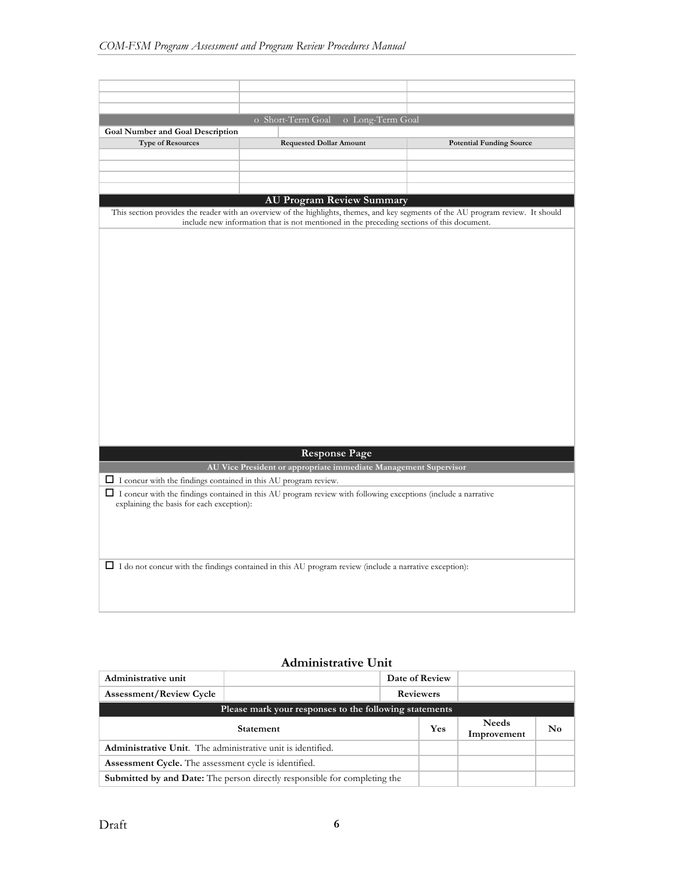|                                                                        | o Short-Term Goal<br>o Long-Term Goal                                                                                |                                                                                                                                   |
|------------------------------------------------------------------------|----------------------------------------------------------------------------------------------------------------------|-----------------------------------------------------------------------------------------------------------------------------------|
| <b>Goal Number and Goal Description</b>                                |                                                                                                                      |                                                                                                                                   |
| <b>Type of Resources</b>                                               | <b>Requested Dollar Amount</b>                                                                                       | <b>Potential Funding Source</b>                                                                                                   |
|                                                                        |                                                                                                                      |                                                                                                                                   |
|                                                                        |                                                                                                                      |                                                                                                                                   |
|                                                                        |                                                                                                                      |                                                                                                                                   |
|                                                                        |                                                                                                                      |                                                                                                                                   |
|                                                                        | <b>AU Program Review Summary</b>                                                                                     | This section provides the reader with an overview of the highlights, themes, and key segments of the AU program review. It should |
|                                                                        | include new information that is not mentioned in the preceding sections of this document.                            |                                                                                                                                   |
|                                                                        |                                                                                                                      |                                                                                                                                   |
|                                                                        |                                                                                                                      |                                                                                                                                   |
|                                                                        |                                                                                                                      |                                                                                                                                   |
|                                                                        |                                                                                                                      |                                                                                                                                   |
|                                                                        |                                                                                                                      |                                                                                                                                   |
|                                                                        |                                                                                                                      |                                                                                                                                   |
|                                                                        |                                                                                                                      |                                                                                                                                   |
|                                                                        |                                                                                                                      |                                                                                                                                   |
|                                                                        |                                                                                                                      |                                                                                                                                   |
|                                                                        |                                                                                                                      |                                                                                                                                   |
|                                                                        |                                                                                                                      |                                                                                                                                   |
|                                                                        |                                                                                                                      |                                                                                                                                   |
|                                                                        |                                                                                                                      |                                                                                                                                   |
|                                                                        |                                                                                                                      |                                                                                                                                   |
|                                                                        |                                                                                                                      |                                                                                                                                   |
|                                                                        |                                                                                                                      |                                                                                                                                   |
|                                                                        |                                                                                                                      |                                                                                                                                   |
|                                                                        | <b>Response Page</b>                                                                                                 |                                                                                                                                   |
|                                                                        | AU Vice President or appropriate immediate Management Supervisor                                                     |                                                                                                                                   |
| $\Box$ I concur with the findings contained in this AU program review. |                                                                                                                      |                                                                                                                                   |
|                                                                        | $\Box$ I concur with the findings contained in this AU program review with following exceptions (include a narrative |                                                                                                                                   |
| explaining the basis for each exception):                              |                                                                                                                      |                                                                                                                                   |
|                                                                        |                                                                                                                      |                                                                                                                                   |
|                                                                        |                                                                                                                      |                                                                                                                                   |
|                                                                        |                                                                                                                      |                                                                                                                                   |
|                                                                        | $\Box$ I do not concur with the findings contained in this AU program review (include a narrative exception):        |                                                                                                                                   |
|                                                                        |                                                                                                                      |                                                                                                                                   |
|                                                                        |                                                                                                                      |                                                                                                                                   |
|                                                                        |                                                                                                                      |                                                                                                                                   |
|                                                                        |                                                                                                                      |                                                                                                                                   |

## **Administrative Unit**

| Administrative unit                                          |                                                                                  |     | Date of Review              |    |  |
|--------------------------------------------------------------|----------------------------------------------------------------------------------|-----|-----------------------------|----|--|
| <b>Assessment/Review Cycle</b>                               |                                                                                  |     | <b>Reviewers</b>            |    |  |
| Please mark your responses to the following statements       |                                                                                  |     |                             |    |  |
| <b>Statement</b>                                             |                                                                                  | Yes | <b>Needs</b><br>Improvement | No |  |
| Administrative Unit. The administrative unit is identified.  |                                                                                  |     |                             |    |  |
| <b>Assessment Cycle.</b> The assessment cycle is identified. |                                                                                  |     |                             |    |  |
|                                                              | <b>Submitted by and Date:</b> The person directly responsible for completing the |     |                             |    |  |